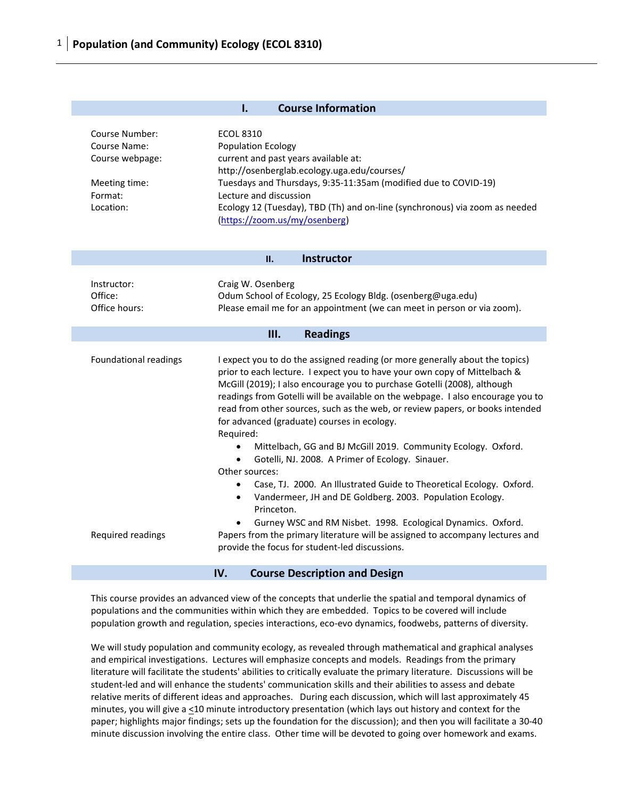| <b>Course Information</b><br>Ι.                                                            |                                                                                                                                                                                                                                                                                                                                                                                                                                                                                                                                                                                                                                                                                                                                                                                                                                                           |  |
|--------------------------------------------------------------------------------------------|-----------------------------------------------------------------------------------------------------------------------------------------------------------------------------------------------------------------------------------------------------------------------------------------------------------------------------------------------------------------------------------------------------------------------------------------------------------------------------------------------------------------------------------------------------------------------------------------------------------------------------------------------------------------------------------------------------------------------------------------------------------------------------------------------------------------------------------------------------------|--|
| Course Number:<br>Course Name:<br>Course webpage:<br>Meeting time:<br>Format:<br>Location: | <b>ECOL 8310</b><br><b>Population Ecology</b><br>current and past years available at:<br>http://osenberglab.ecology.uga.edu/courses/<br>Tuesdays and Thursdays, 9:35-11:35am (modified due to COVID-19)<br>Lecture and discussion<br>Ecology 12 (Tuesday), TBD (Th) and on-line (synchronous) via zoom as needed<br>(https://zoom.us/my/osenberg)                                                                                                                                                                                                                                                                                                                                                                                                                                                                                                         |  |
| <b>Instructor</b><br>П.                                                                    |                                                                                                                                                                                                                                                                                                                                                                                                                                                                                                                                                                                                                                                                                                                                                                                                                                                           |  |
| Instructor:<br>Office:<br>Office hours:                                                    | Craig W. Osenberg<br>Odum School of Ecology, 25 Ecology Bldg. (osenberg@uga.edu)<br>Please email me for an appointment (we can meet in person or via zoom).                                                                                                                                                                                                                                                                                                                                                                                                                                                                                                                                                                                                                                                                                               |  |
| <b>Readings</b><br>Ш.                                                                      |                                                                                                                                                                                                                                                                                                                                                                                                                                                                                                                                                                                                                                                                                                                                                                                                                                                           |  |
| <b>Foundational readings</b>                                                               | I expect you to do the assigned reading (or more generally about the topics)<br>prior to each lecture. I expect you to have your own copy of Mittelbach &<br>McGill (2019); I also encourage you to purchase Gotelli (2008), although<br>readings from Gotelli will be available on the webpage. I also encourage you to<br>read from other sources, such as the web, or review papers, or books intended<br>for advanced (graduate) courses in ecology.<br>Required:<br>Mittelbach, GG and BJ McGill 2019. Community Ecology. Oxford.<br>Gotelli, NJ. 2008. A Primer of Ecology. Sinauer.<br>Other sources:<br>Case, TJ. 2000. An Illustrated Guide to Theoretical Ecology. Oxford.<br>$\bullet$<br>Vandermeer, JH and DE Goldberg. 2003. Population Ecology.<br>$\bullet$<br>Princeton.<br>Gurney WSC and RM Nisbet. 1998. Ecological Dynamics. Oxford. |  |
| Required readings                                                                          | Papers from the primary literature will be assigned to accompany lectures and<br>provide the focus for student-led discussions.                                                                                                                                                                                                                                                                                                                                                                                                                                                                                                                                                                                                                                                                                                                           |  |
| IV.<br><b>Course Description and Design</b>                                                |                                                                                                                                                                                                                                                                                                                                                                                                                                                                                                                                                                                                                                                                                                                                                                                                                                                           |  |

This course provides an advanced view of the concepts that underlie the spatial and temporal dynamics of populations and the communities within which they are embedded. Topics to be covered will include population growth and regulation, species interactions, eco-evo dynamics, foodwebs, patterns of diversity.

We will study population and community ecology, as revealed through mathematical and graphical analyses and empirical investigations. Lectures will emphasize concepts and models. Readings from the primary literature will facilitate the students' abilities to critically evaluate the primary literature. Discussions will be student-led and will enhance the students' communication skills and their abilities to assess and debate relative merits of different ideas and approaches. During each discussion, which will last approximately 45 minutes, you will give a <10 minute introductory presentation (which lays out history and context for the paper; highlights major findings; sets up the foundation for the discussion); and then you will facilitate a 30-40 minute discussion involving the entire class. Other time will be devoted to going over homework and exams.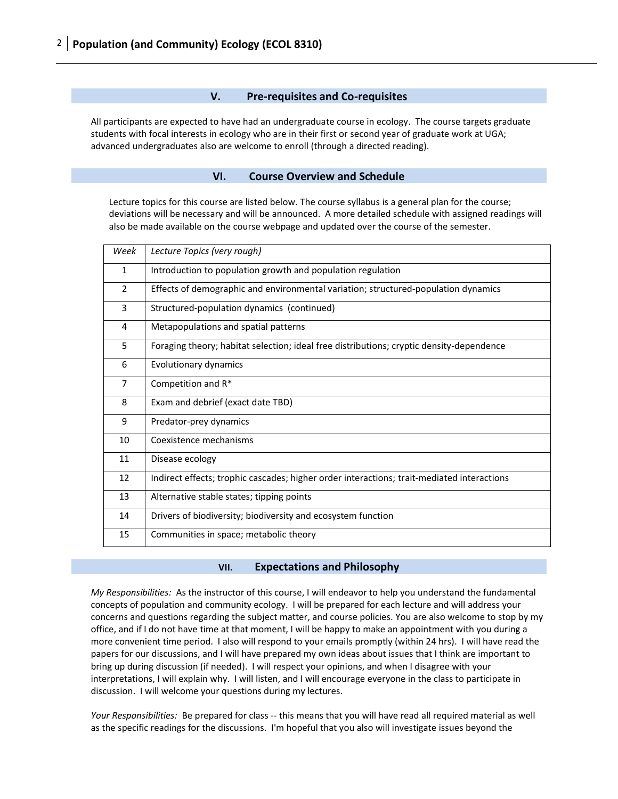## **V. Pre-requisites and Co-requisites**

All participants are expected to have had an undergraduate course in ecology. The course targets graduate students with focal interests in ecology who are in their first or second year of graduate work at UGA; advanced undergraduates also are welcome to enroll (through a directed reading).

### **VI. Course Overview and Schedule**

Lecture topics for this course are listed below. The course syllabus is a general plan for the course; deviations will be necessary and will be announced. A more detailed schedule with assigned readings will also be made available on the course webpage and updated over the course of the semester.

| Week           | Lecture Topics (very rough)                                                                |
|----------------|--------------------------------------------------------------------------------------------|
| $\mathbf{1}$   | Introduction to population growth and population regulation                                |
| $\overline{2}$ | Effects of demographic and environmental variation; structured-population dynamics         |
| 3              | Structured-population dynamics (continued)                                                 |
| 4              | Metapopulations and spatial patterns                                                       |
| 5              | Foraging theory; habitat selection; ideal free distributions; cryptic density-dependence   |
| 6              | Evolutionary dynamics                                                                      |
| $\overline{7}$ | Competition and R*                                                                         |
| 8              | Exam and debrief (exact date TBD)                                                          |
| 9              | Predator-prey dynamics                                                                     |
| 10             | Coexistence mechanisms                                                                     |
| 11             | Disease ecology                                                                            |
| 12             | Indirect effects; trophic cascades; higher order interactions; trait-mediated interactions |
| 13             | Alternative stable states; tipping points                                                  |
| 14             | Drivers of biodiversity; biodiversity and ecosystem function                               |
| 15             | Communities in space; metabolic theory                                                     |

### **VII. Expectations and Philosophy**

*My Responsibilities:* As the instructor of this course, I will endeavor to help you understand the fundamental concepts of population and community ecology. I will be prepared for each lecture and will address your concerns and questions regarding the subject matter, and course policies. You are also welcome to stop by my office, and if I do not have time at that moment, I will be happy to make an appointment with you during a more convenient time period. I also will respond to your emails promptly (within 24 hrs). I will have read the papers for our discussions, and I will have prepared my own ideas about issues that I think are important to bring up during discussion (if needed). I will respect your opinions, and when I disagree with your interpretations, I will explain why. I will listen, and I will encourage everyone in the class to participate in discussion. I will welcome your questions during my lectures.

*Your Responsibilities:* Be prepared for class -- this means that you will have read all required material as well as the specific readings for the discussions. I'm hopeful that you also will investigate issues beyond the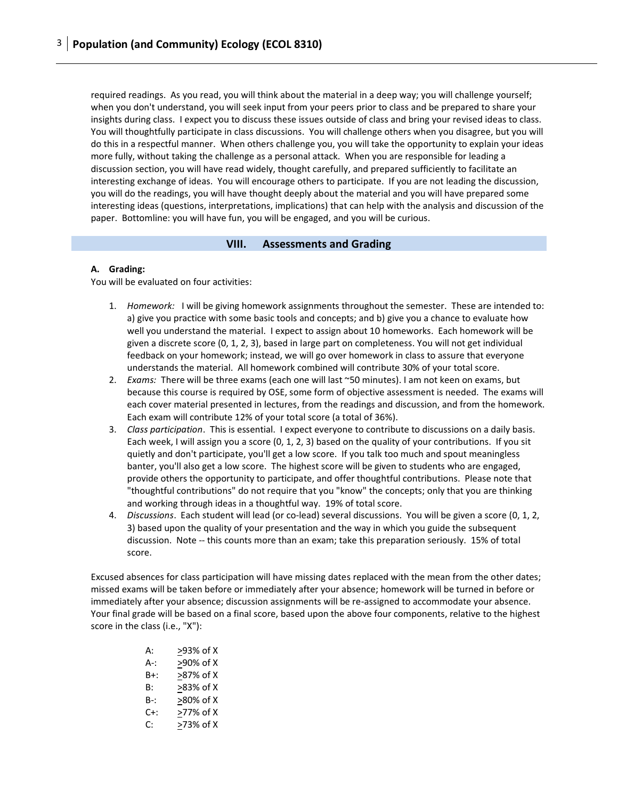required readings. As you read, you will think about the material in a deep way; you will challenge yourself; when you don't understand, you will seek input from your peers prior to class and be prepared to share your insights during class. I expect you to discuss these issues outside of class and bring your revised ideas to class. You will thoughtfully participate in class discussions. You will challenge others when you disagree, but you will do this in a respectful manner. When others challenge you, you will take the opportunity to explain your ideas more fully, without taking the challenge as a personal attack. When you are responsible for leading a discussion section, you will have read widely, thought carefully, and prepared sufficiently to facilitate an interesting exchange of ideas. You will encourage others to participate. If you are not leading the discussion, you will do the readings, you will have thought deeply about the material and you will have prepared some interesting ideas (questions, interpretations, implications) that can help with the analysis and discussion of the paper. Bottomline: you will have fun, you will be engaged, and you will be curious.

#### **VIII. Assessments and Grading**

### **A. Grading:**

You will be evaluated on four activities:

- 1. *Homework:* I will be giving homework assignments throughout the semester. These are intended to: a) give you practice with some basic tools and concepts; and b) give you a chance to evaluate how well you understand the material. I expect to assign about 10 homeworks. Each homework will be given a discrete score (0, 1, 2, 3), based in large part on completeness. You will not get individual feedback on your homework; instead, we will go over homework in class to assure that everyone understands the material. All homework combined will contribute 30% of your total score.
- 2. *Exams:* There will be three exams (each one will last ~50 minutes). I am not keen on exams, but because this course is required by OSE, some form of objective assessment is needed. The exams will each cover material presented in lectures, from the readings and discussion, and from the homework. Each exam will contribute 12% of your total score (a total of 36%).
- 3. *Class participation*. This is essential. I expect everyone to contribute to discussions on a daily basis. Each week, I will assign you a score (0, 1, 2, 3) based on the quality of your contributions. If you sit quietly and don't participate, you'll get a low score. If you talk too much and spout meaningless banter, you'll also get a low score. The highest score will be given to students who are engaged, provide others the opportunity to participate, and offer thoughtful contributions. Please note that "thoughtful contributions" do not require that you "know" the concepts; only that you are thinking and working through ideas in a thoughtful way. 19% of total score.
- 4. *Discussions*. Each student will lead (or co-lead) several discussions. You will be given a score (0, 1, 2, 3) based upon the quality of your presentation and the way in which you guide the subsequent discussion. Note -- this counts more than an exam; take this preparation seriously. 15% of total score.

Excused absences for class participation will have missing dates replaced with the mean from the other dates; missed exams will be taken before or immediately after your absence; homework will be turned in before or immediately after your absence; discussion assignments will be re-assigned to accommodate your absence. Your final grade will be based on a final score, based upon the above four components, relative to the highest score in the class (i.e., "X"):

> A: >93% of X A-: >90% of X B+: >87% of X B:  $\geq 83\%$  of X B-: >80% of X C+: >77% of X C:  $\geq$ 73% of X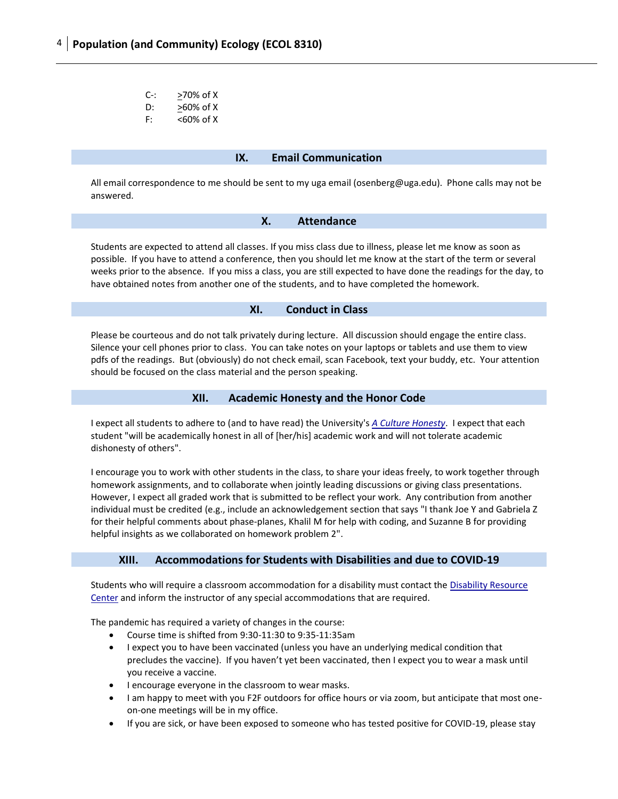| $C-$ | >70% of X                        |
|------|----------------------------------|
|      | $\cdots$<br>$\sim$ $\sim$ $\sim$ |

- D:  $>60\%$  of X
- F: <60% of X

## **IX. Email Communication**

All email correspondence to me should be sent to my uga email (osenberg@uga.edu). Phone calls may not be answered.

## **X. Attendance**

Students are expected to attend all classes. If you miss class due to illness, please let me know as soon as possible. If you have to attend a conference, then you should let me know at the start of the term or several weeks prior to the absence. If you miss a class, you are still expected to have done the readings for the day, to have obtained notes from another one of the students, and to have completed the homework.

# **XI. Conduct in Class**

Please be courteous and do not talk privately during lecture. All discussion should engage the entire class. Silence your cell phones prior to class. You can take notes on your laptops or tablets and use them to view pdfs of the readings. But (obviously) do not check email, scan Facebook, text your buddy, etc. Your attention should be focused on the class material and the person speaking.

## **XII. Academic Honesty and the Honor Code**

I expect all students to adhere to (and to have read) the University's *[A Culture Honesty](https://ovpi.uga.edu/academic-honesty)*. I expect that each student "will be academically honest in all of [her/his] academic work and will not tolerate academic dishonesty of others".

I encourage you to work with other students in the class, to share your ideas freely, to work together through homework assignments, and to collaborate when jointly leading discussions or giving class presentations. However, I expect all graded work that is submitted to be reflect your work. Any contribution from another individual must be credited (e.g., include an acknowledgement section that says "I thank Joe Y and Gabriela Z for their helpful comments about phase-planes, Khalil M for help with coding, and Suzanne B for providing helpful insights as we collaborated on homework problem 2".

# **XIII. Accommodations for Students with Disabilities and due to COVID-19**

Students who will require a classroom accommodation for a disability must contact the [Disability Resource](https://drc.uga.edu/)  [Center](https://drc.uga.edu/) and inform the instructor of any special accommodations that are required.

The pandemic has required a variety of changes in the course:

- Course time is shifted from 9:30-11:30 to 9:35-11:35am
- I expect you to have been vaccinated (unless you have an underlying medical condition that precludes the vaccine). If you haven't yet been vaccinated, then I expect you to wear a mask until you receive a vaccine.
- I encourage everyone in the classroom to wear masks.
- I am happy to meet with you F2F outdoors for office hours or via zoom, but anticipate that most oneon-one meetings will be in my office.
- If you are sick, or have been exposed to someone who has tested positive for COVID-19, please stay